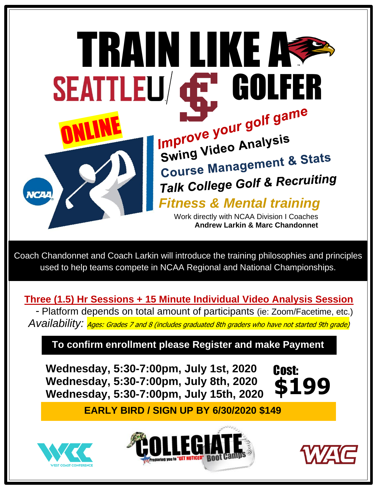